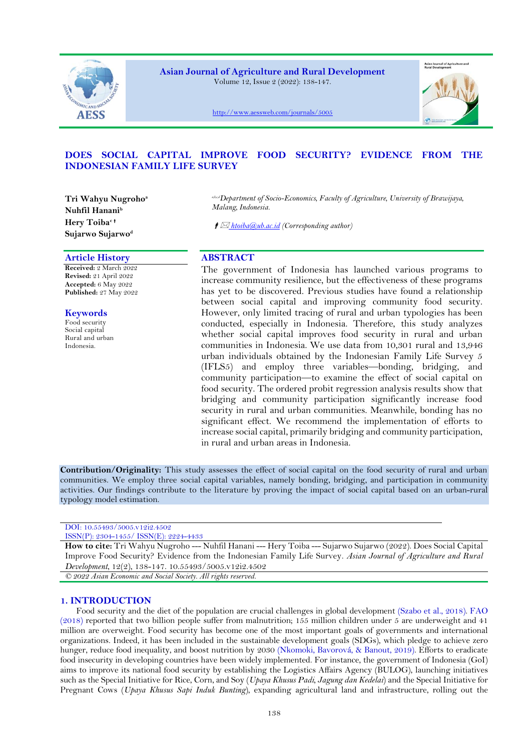

**Asian Journal of Agriculture and Rural Development** Volume 12, Issue 2 (2022): 138-147.



<http://www.aessweb.com/journals/5005>

# **DOES SOCIAL CAPITAL IMPROVE FOOD SECURITY? EVIDENCE FROM THE INDONESIAN FAMILY LIFE SURVEY**

**Tri Wahyu Nugroho<sup>a</sup> Nuhfil Hanani<sup>b</sup> Hery Toiba<sup>c</sup> Sujarwo Sujarwo<sup>d</sup>**

# **Article History ABSTRACT**

**Received:** 2 March 2022 **Revised:** 21 April 2022 **Accepted:** 6 May 2022 **Published:** 27 May 2022

# **Keywords**

Food security Social capital Rural and urban Indonesia.

*a,b,c,dDepartment of Socio-Economics, Faculty of Agriculture, University of Brawijaya, Malang, Indonesia.*

*htoiba@ub.ac.id (Corresponding author)*

The government of Indonesia has launched various programs to increase community resilience, but the effectiveness of these programs has yet to be discovered. Previous studies have found a relationship between social capital and improving community food security. However, only limited tracing of rural and urban typologies has been conducted, especially in Indonesia. Therefore, this study analyzes whether social capital improves food security in rural and urban communities in Indonesia. We use data from 10,301 rural and 13,946 urban individuals obtained by the Indonesian Family Life Survey 5 (IFLS5) and employ three variables—bonding, bridging, and community participation—to examine the effect of social capital on food security. The ordered probit regression analysis results show that bridging and community participation significantly increase food security in rural and urban communities. Meanwhile, bonding has no significant effect. We recommend the implementation of efforts to increase social capital, primarily bridging and community participation, in rural and urban areas in Indonesia.

**Contribution/Originality:** This study assesses the effect of social capital on the food security of rural and urban communities. We employ three social capital variables, namely bonding, bridging, and participation in community activities. Our findings contribute to the literature by proving the impact of social capital based on an urban-rural typology model estimation.

## DOI: 10.55493/5005.v12i2.4502 ISSN(P): 2304-1455/ ISSN(E): 2224-4433

**How to cite:** Tri Wahyu Nugroho --- Nuhfil Hanani --- Hery Toiba --- Sujarwo Sujarwo (2022). Does Social Capital Improve Food Security? Evidence from the Indonesian Family Life Survey. *Asian Journal of Agriculture and Rural Development*, 12(2), 138-147. 10.55493/5005.v12i2.4502

*© 2022 Asian Economic and Social Society. All rights reserved.*

# **1. INTRODUCTION**

Food security and the diet of the population are crucial challenges in global development [\(Szabo et al., 2018\)](#page-9-0). [FAO](#page-7-0)  [\(2018\)](#page-7-0) reported that two billion people suffer from malnutrition; 155 million children under 5 are underweight and 41 million are overweight. Food security has become one of the most important goals of governments and international organizations. Indeed, it has been included in the sustainable development goals (SDGs), which pledge to achieve zero hunger, reduce food inequality, and boost nutrition by 2030 [\(Nkomoki, Bavorová, & Banout, 2019\)](#page-8-0). Efforts to eradicate food insecurity in developing countries have been widely implemented. For instance, the government of Indonesia (GoI) aims to improve its national food security by establishing the Logistics Affairs Agency (BULOG), launching initiatives such as the Special Initiative for Rice, Corn, and Soy (*Upaya Khusus Padi, Jagung dan Kedelai*) and the Special Initiative for Pregnant Cows (*Upaya Khusus Sapi Induk Bunting*), expanding agricultural land and infrastructure, rolling out the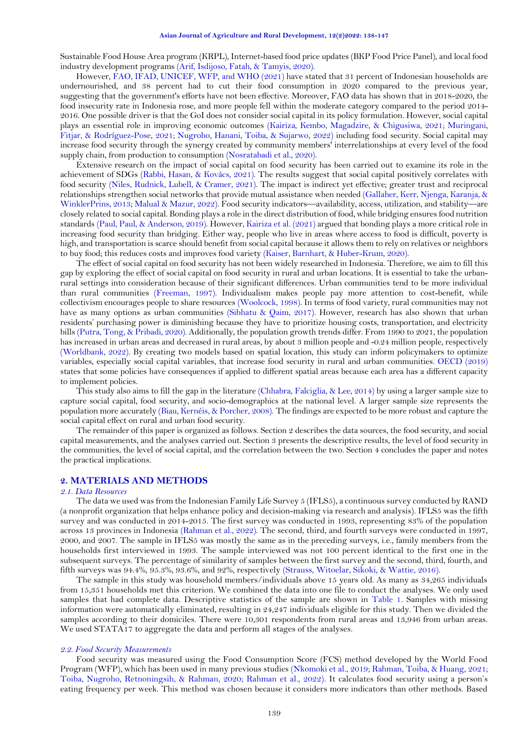Sustainable Food House Area program (KRPL), Internet-based food price updates (BKP Food Price Panel), and local food industry development programs [\(Arif, Isdijoso, Fatah, & Tamyis, 2020\)](#page-7-1).

However, [FAO, IFAD, UNICEF, WFP, and WHO \(2021\)](#page-7-2) have stated that 31 percent of Indonesian households are undernourished, and 38 percent had to cut their food consumption in 2020 compared to the previous year, suggesting that the government's efforts have not been effective. Moreover, FAO data has shown that in 2018-2020, the food insecurity rate in Indonesia rose, and more people fell within the moderate category compared to the period 2014- 2016. One possible driver is that the GoI does not consider social capital in its policy formulation. However, social capital plays an essential role in improving economic outcomes [\(Kairiza, Kembo, Magadzire, & Chigusiwa, 2021;](#page-8-1) [Muringani,](#page-8-2)  [Fitjar, & Rodríguez-Pose, 2021;](#page-8-2) [Nugroho, Hanani, Toiba, & Sujarwo, 2022\)](#page-8-3) including food security. Social capital may increase food security through the synergy created by community members' interrelationships at every level of the food supply chain, from production to consumption [\(Nosratabadi et al., 2020\)](#page-8-4).

Extensive research on the impact of social capital on food security has been carried out to examine its role in the achievement of SDGs [\(Rabbi, Hasan, & Kovács, 2021\)](#page-8-5). The results suggest that social capital positively correlates with food security [\(Niles, Rudnick, Lubell, & Cramer, 2021\)](#page-8-6). The impact is indirect yet effective; greater trust and reciprocal relationships strengthen social networks that provide mutual assistance when needed [\(Gallaher, Kerr, Njenga, Karanja, &](#page-7-3)  [WinklerPrins, 2013;](#page-7-3) [Malual & Mazur, 2022\)](#page-8-7). Food security indicators—availability, access, utilization, and stability—are closely related to social capital. Bonding plays a role in the direct distribution of food, while bridging ensures food nutrition standards [\(Paul, Paul, & Anderson, 2019\)](#page-8-8). However, [Kairiza et al. \(2021\)](#page-8-1) argued that bonding plays a more critical role in increasing food security than bridging. Either way, people who live in areas where access to food is difficult, poverty is high, and transportation is scarce should benefit from social capital because it allows them to rely on relatives or neighbors to buy food; this reduces costs and improves food variety [\(Kaiser, Barnhart, & Huber-Krum, 2020\)](#page-8-9).

The effect of social capital on food security has not been widely researched in Indonesia. Therefore, we aim to fill this gap by exploring the effect of social capital on food security in rural and urban locations. It is essential to take the urbanrural settings into consideration because of their significant differences. Urban communities tend to be more individual than rural communities [\(Freeman, 1997\)](#page-7-4). Individualism makes people pay more attention to cost-benefit, while collectivism encourages people to share resources [\(Woolcock, 1998\)](#page-9-1). In terms of food variety, rural communities may not have as many options as urban communities [\(Sibhatu & Qaim, 2017\)](#page-9-2). However, research has also shown that urban residents' purchasing power is diminishing because they have to prioritize housing costs, transportation, and electricity bills [\(Putra, Tong, & Pribadi, 2020\)](#page-8-10). Additionally, the population growth trends differ. From 1990 to 2021, the population has increased in urban areas and decreased in rural areas, by about 3 million people and -0.24 million people, respectively [\(Worldbank, 2022\)](#page-9-3). By creating two models based on spatial location, this study can inform policymakers to optimize variables, especially social capital variables, that increase food security in rural and urban communities. [OECD \(2019\)](#page-8-11) states that some policies have consequences if applied to different spatial areas because each area has a different capacity to implement policies.

This study also aims to fill the gap in the literature [\(Chhabra, Falciglia, & Lee, 2014\)](#page-7-5) by using a larger sample size to capture social capital, food security, and socio-demographics at the national level. A larger sample size represents the population more accurately [\(Biau, Kernéis, & Porcher, 2008\)](#page-7-6). The findings are expected to be more robust and capture the social capital effect on rural and urban food security.

The remainder of this paper is organized as follows. Section 2 describes the data sources, the food security, and social capital measurements, and the analyses carried out. Section 3 presents the descriptive results, the level of food security in the communities, the level of social capital, and the correlation between the two. Section 4 concludes the paper and notes the practical implications.

# **2. MATERIALS AND METHODS**

#### *2.1. Data Resources*

The data we used was from the Indonesian Family Life Survey 5 (IFLS5), a continuous survey conducted by RAND (a nonprofit organization that helps enhance policy and decision-making via research and analysis). IFLS5 was the fifth survey and was conducted in 2014-2015. The first survey was conducted in 1993, representing 83% of the population across 13 provinces in Indonesia [\(Rahman](#page-9-1) et al., 2022). The second, third, and fourth surveys were conducted in 1997, 2000, and 2007. The sample in IFLS5 was mostly the same as in the preceding surveys, i.e., family members from the households first interviewed in 1993. The sample interviewed was not 100 percent identical to the first one in the subsequent surveys. The percentage of similarity of samples between the first survey and the second, third, fourth, and fifth surveys was 94.4%, 95.3%, 93.6%, and 92%, respectively [\(Strauss, Witoelar, Sikoki, & Wattie, 2016\)](#page-9-4).

The sample in this study was household members/individuals above 15 years old. As many as 34,265 individuals from 15,351 households met this criterion. We combined the data into one file to conduct the analyses. We only used samples that had complete data. Descriptive statistics of the sample are shown in [Table 1.](#page-3-0) Samples with missing information were automatically eliminated, resulting in 24,247 individuals eligible for this study. Then we divided the samples according to their domiciles. There were 10,301 respondents from rural areas and 13,946 from urban areas. We used STATA17 to aggregate the data and perform all stages of the analyses.

#### *2.2. Food Security Measurements*

Food security was measured using the Food Consumption Score (FCS) method developed by the World Food Program (WFP), which has been used in many previous studies [\(Nkomoki et al., 2019;](#page-8-0) [Rahman, Toiba, & Huang, 2021;](#page-8-12) [Toiba, Nugroho, Retnoningsih, & Rahman, 2020;](#page-9-5) Rahman et al., 2022). It calculates food security using a person's eating frequency per week. This method was chosen because it considers more indicators than other methods. Based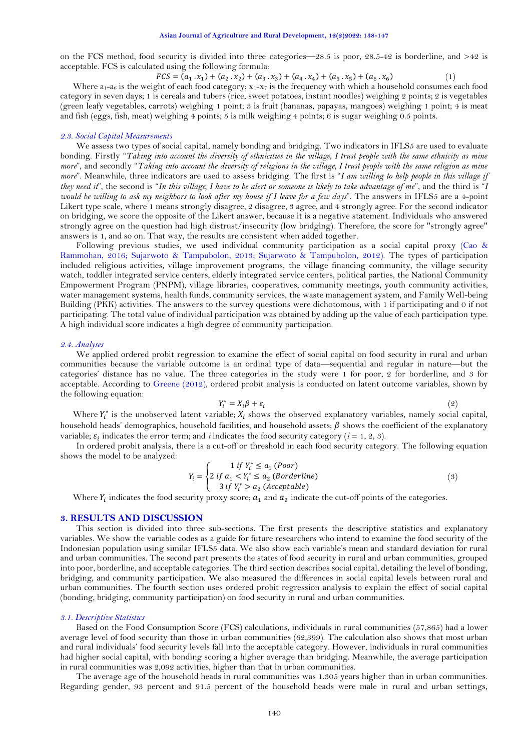on the FCS method, food security is divided into three categories—28.5 is poor,  $28.5-42$  is borderline, and  $>42$  is acceptable. FCS is calculated using the following formula:

> $FCS = (a_1 \cdot x_1) + (a_2 \cdot x_2) + (a_3 \cdot x_3) + (a_4 \cdot x_4) + (a_5 \cdot x_5) + (a_6 \cdot x_6)$ )  $(1)$

Where  $a_1-a_6$  is the weight of each food category;  $x_1-x_7$  is the frequency with which a household consumes each food category in seven days; 1 is cereals and tubers (rice, sweet potatoes, instant noodles) weighing 2 points; 2 is vegetables (green leafy vegetables, carrots) weighing 1 point; 3 is fruit (bananas, papayas, mangoes) weighing 1 point; 4 is meat and fish (eggs, fish, meat) weighing 4 points; 5 is milk weighing 4 points; 6 is sugar weighing 0.5 points.

#### *2.3. Social Capital Measurements*

We assess two types of social capital, namely bonding and bridging. Two indicators in IFLS5 are used to evaluate bonding. Firstly "*Taking into account the diversity of ethnicities in the village, I trust people with the same ethnicity as mine more*", and secondly "*Taking into account the diversity of religions in the village, I trust people with the same religion as mine more*". Meanwhile, three indicators are used to assess bridging. The first is "*I am willing to help people in this village if they need it*", the second is "*In this village, I have to be alert or someone is likely to take advantage of me*", and the third is "*I would be willing to ask my neighbors to look after my house if I leave for a few days*". The answers in IFLS5 are a 4-point Likert type scale, where 1 means strongly disagree, 2 disagree, 3 agree, and 4 strongly agree. For the second indicator on bridging, we score the opposite of the Likert answer, because it is a negative statement. Individuals who answered strongly agree on the question had high distrust/insecurity (low bridging). Therefore, the score for "strongly agree" answers is 1, and so on. That way, the results are consistent when added together.

Following previous studies, we used individual community participation as a social capital proxy [\(Cao &](#page-7-7)  [Rammohan, 2016;](#page-7-7) [Sujarwoto & Tampubolon, 2013;](#page-9-6) [Sujarwoto & Tampubolon, 2012\)](#page-9-7). The types of participation included religious activities, village improvement programs, the village financing community, the village security watch, toddler integrated service centers, elderly integrated service centers, political parties, the National Community Empowerment Program (PNPM), village libraries, cooperatives, community meetings, youth community activities, water management systems, health funds, community services, the waste management system, and Family Well-being Building (PKK) activities. The answers to the survey questions were dichotomous, with 1 if participating and 0 if not participating. The total value of individual participation was obtained by adding up the value of each participation type. A high individual score indicates a high degree of community participation.

#### *2.4. Analyses*

We applied ordered probit regression to examine the effect of social capital on food security in rural and urban communities because the variable outcome is an ordinal type of data—sequential and regular in nature—but the categories' distance has no value. The three categories in the study were 1 for poor, 2 for borderline, and 3 for acceptable. According to [Greene \(2012\)](#page-7-8), ordered probit analysis is conducted on latent outcome variables, shown by the following equation:

$$
Y_i^* = X_i \beta + \varepsilon_i \tag{2}
$$

Where  $Y_i^*$  is the unobserved latent variable;  $X_i$  shows the observed explanatory variables, namely social capital, household heads' demographics, household facilities, and household assets;  $\beta$  shows the coefficient of the explanatory variable;  $\varepsilon_i$  indicates the error term; and *i* indicates the food security category (*i* = 1, 2, 3).

In ordered probit analysis, there is a cut-off or threshold in each food security category. The following equation shows the model to be analyzed:  $\mathbb{R}^2$ 

$$
Y_i = \begin{cases} 1 & \text{if } Y_i^* \le a_1 \text{ (Poor)} \\ 2 & \text{if } a_1 < Y_i^* \le a_2 \text{ (Borderline)} \\ 3 & \text{if } Y_i^* > a_2 \text{ (Acceptable)} \end{cases} \tag{3}
$$

Where  $Y_i$  indicates the food security proxy score;  $a_1$  and  $a_2$  indicate the cut-off points of the categories.

#### **3. RESULTS AND DISCUSSION**

This section is divided into three sub-sections. The first presents the descriptive statistics and explanatory variables. We show the variable codes as a guide for future researchers who intend to examine the food security of the Indonesian population using similar IFLS5 data. We also show each variable's mean and standard deviation for rural and urban communities. The second part presents the states of food security in rural and urban communities, grouped into poor, borderline, and acceptable categories. The third section describes social capital, detailing the level of bonding, bridging, and community participation. We also measured the differences in social capital levels between rural and urban communities. The fourth section uses ordered probit regression analysis to explain the effect of social capital (bonding, bridging, community participation) on food security in rural and urban communities.

#### *3.1. Descriptive Statistics*

Based on the Food Consumption Score (FCS) calculations, individuals in rural communities (57,865) had a lower average level of food security than those in urban communities (62,399). The calculation also shows that most urban and rural individuals' food security levels fall into the acceptable category. However, individuals in rural communities had higher social capital, with bonding scoring a higher average than bridging. Meanwhile, the average participation in rural communities was 2,092 activities, higher than that in urban communities.

The average age of the household heads in rural communities was 1.305 years higher than in urban communities. Regarding gender, 93 percent and 91.5 percent of the household heads were male in rural and urban settings,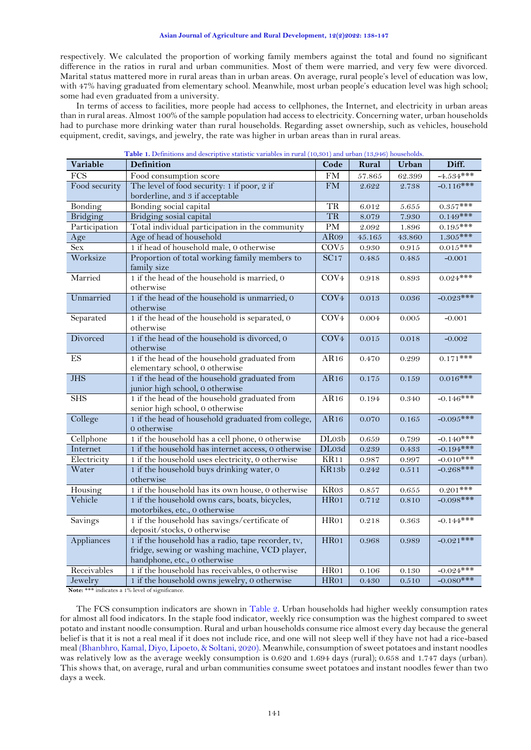respectively. We calculated the proportion of working family members against the total and found no significant difference in the ratios in rural and urban communities. Most of them were married, and very few were divorced. Marital status mattered more in rural areas than in urban areas. On average, rural people's level of education was low, with 47% having graduated from elementary school. Meanwhile, most urban people's education level was high school; some had even graduated from a university.

In terms of access to facilities, more people had access to cellphones, the Internet, and electricity in urban areas than in rural areas. Almost 100% of the sample population had access to electricity. Concerning water, urban households had to purchase more drinking water than rural households. Regarding asset ownership, such as vehicles, household equipment, credit, savings, and jewelry, the rate was higher in urban areas than in rural areas.

<span id="page-3-0"></span>

| Variable                 | <b>Definition</b>                                   | Code                | Rural      | Urban  | Diff.       |
|--------------------------|-----------------------------------------------------|---------------------|------------|--------|-------------|
| $\overline{FCS}$         | Food consumption score                              | <b>FM</b>           | 57.865     | 62.399 | $-4.534***$ |
| Food security            | The level of food security: 1 if poor, 2 if         | $\overline{\rm FM}$ | 2.622      | 2.738  | $-0.116***$ |
|                          | borderline, and 3 if acceptable                     |                     |            |        |             |
| Bonding                  | Bonding social capital                              | <b>TR</b>           | 6.012      | 5.655  | $0.357***$  |
| Bridging                 | Bridging sosial capital                             | <b>TR</b>           | 8.079      | 7.930  | $0.149***$  |
| Participation            | Total individual participation in the community     | PM                  | 2.092      | 1.896  | $0.195***$  |
| Age                      | Age of head of household                            | AR09                | $45.165\,$ | 43.860 | $1.305***$  |
| <b>Sex</b>               | 1 if head of household male, 0 otherwise            | COV <sub>5</sub>    | 0.930      | 0.915  | $0.015***$  |
| Worksize                 | Proportion of total working family members to       | $\overline{SC17}$   | 0.485      | 0.485  | $-0.001$    |
|                          | family size                                         |                     |            |        |             |
| Married                  | 1 if the head of the household is married, 0        | COV <sub>4</sub>    | 0.918      | 0.893  | $0.024***$  |
|                          | otherwise                                           |                     |            |        |             |
| Unmarried                | 1 if the head of the household is unmarried, 0      | COV <sub>4</sub>    | 0.013      | 0.036  | $-0.023***$ |
|                          | otherwise                                           |                     |            |        |             |
| Separated                | 1 if the head of the household is separated, 0      | COV <sub>4</sub>    | 0.004      | 0.005  | $-0.001$    |
|                          | otherwise                                           |                     |            |        |             |
| Divorced                 | 1 if the head of the household is divorced, 0       | COV <sub>4</sub>    | $0.015\,$  | 0.018  | $-0.002$    |
|                          | otherwise                                           |                     |            |        |             |
| $\mathop{\hbox{\rm ES}}$ | 1 if the head of the household graduated from       | AR16                | 0.470      | 0.299  | $0.171$ *** |
|                          | elementary school, 0 otherwise                      |                     |            |        |             |
| <b>JHS</b>               | 1 if the head of the household graduated from       | AR16                | 0.175      | 0.159  | $0.016***$  |
|                          | junior high school, 0 otherwise                     |                     |            |        |             |
| <b>SHS</b>               | 1 if the head of the household graduated from       | AR16                | 0.194      | 0.340  | $-0.146***$ |
|                          | senior high school, 0 otherwise                     |                     |            |        |             |
| College                  | 1 if the head of household graduated from college,  | AR16                | 0.070      | 0.165  | $-0.095***$ |
|                          | 0 otherwise                                         |                     |            |        |             |
| Cellphone                | 1 if the household has a cell phone, 0 otherwise    | DLo3b               | 0.659      | 0.799  | $-0.140***$ |
| Internet                 | 1 if the household has internet access, 0 otherwise | DLo3d               | 0.239      | 0.433  | $-0.194***$ |
| Electricity              | 1 if the household uses electricity, 0 otherwise    | KR11                | 0.987      | 0.997  | $-0.010***$ |
| Water                    | 1 if the household buys drinking water, 0           | KR13b               | 0.242      | 0.511  | $-0.268***$ |
|                          | otherwise                                           |                     |            |        |             |
| Housing                  | 1 if the household has its own house, 0 otherwise   | KR03                | 0.857      | 0.655  | $0.201$ *** |
| Vehicle                  | 1 if the household owns cars, boats, bicycles,      | HR01                | 0.712      | 0.810  | $-0.098***$ |
|                          | motorbikes, etc., 0 otherwise                       |                     |            |        |             |
| Savings                  | 1 if the household has savings/certificate of       | $\overline{HR01}$   | 0.218      | 0.363  | $-0.144***$ |
|                          | deposit/stocks, 0 otherwise                         |                     |            |        |             |
| Appliances               | 1 if the household has a radio, tape recorder, tv,  | HR01                | 0.968      | 0.989  | $-0.021***$ |
|                          | fridge, sewing or washing machine, VCD player,      |                     |            |        |             |
|                          | handphone, etc., 0 otherwise                        |                     |            |        |             |
| Receivables              | 1 if the household has receivables, 0 otherwise     | HR01                | 0.106      | 0.130  | $-0.024***$ |
| Jewelry                  | 1 if the household owns jewelry, 0 otherwise        | HR01                | 0.430      | 0.510  | $-0.080***$ |

**Table 1.** Definitions and descriptive statistic variables in rural (10,301) and urban (13,946) households.

**Note:** \*\*\* indicates a 1% level of significance.

The FCS consumption indicators are shown in [Table 2.](#page-4-0) Urban households had higher weekly consumption rates for almost all food indicators. In the staple food indicator, weekly rice consumption was the highest compared to sweet potato and instant noodle consumption. Rural and urban households consume rice almost every day because the general belief is that it is not a real meal if it does not include rice, and one will not sleep well if they have not had a rice-based meal [\(Bhanbhro, Kamal, Diyo, Lipoeto, & Soltani, 2020\)](#page-7-9). Meanwhile, consumption of sweet potatoes and instant noodles was relatively low as the average weekly consumption is 0.620 and 1.694 days (rural); 0.658 and 1.747 days (urban). This shows that, on average, rural and urban communities consume sweet potatoes and instant noodles fewer than two days a week.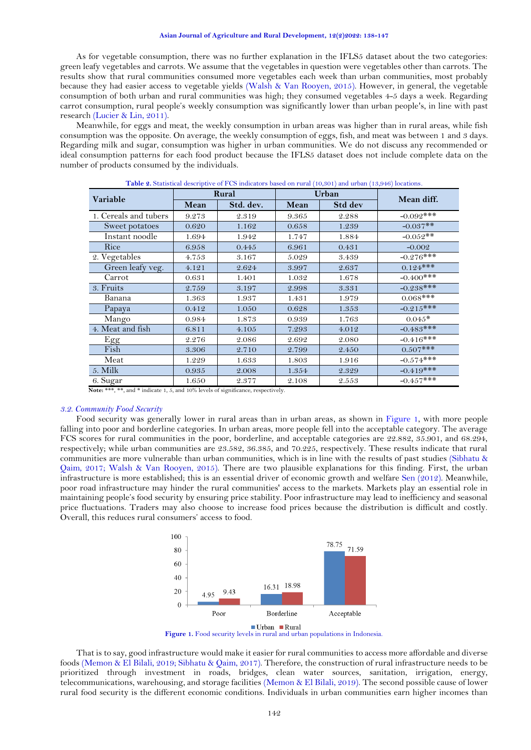#### **Asian Journal of Agriculture and Rural Development, 12(2)2022: 138-147**

As for vegetable consumption, there was no further explanation in the IFLS5 dataset about the two categories: green leafy vegetables and carrots. We assume that the vegetables in question were vegetables other than carrots. The results show that rural communities consumed more vegetables each week than urban communities, most probably because they had easier access to vegetable yields [\(Walsh & Van Rooyen, 2015\)](#page-9-8). However, in general, the vegetable consumption of both urban and rural communities was high; they consumed vegetables 4-5 days a week. Regarding carrot consumption, rural people's weekly consumption was significantly lower than urban people's, in line with past research [\(Lucier & Lin, 2011\)](#page-8-13).

Meanwhile, for eggs and meat, the weekly consumption in urban areas was higher than in rural areas, while fish consumption was the opposite. On average, the weekly consumption of eggs, fish, and meat was between 1 and 3 days. Regarding milk and sugar, consumption was higher in urban communities. We do not discuss any recommended or ideal consumption patterns for each food product because the IFLS5 dataset does not include complete data on the number of products consumed by the individuals.

<span id="page-4-0"></span>

| Variable              |       | Rural     |       | Urban   | Mean diff.   |  |
|-----------------------|-------|-----------|-------|---------|--------------|--|
|                       | Mean  | Std. dev. | Mean  | Std dev |              |  |
| 1. Cereals and tubers | 9.273 | 2.319     | 9.365 | 2.288   | $-0.092***$  |  |
| Sweet potatoes        | 0.620 | 1.162     | 0.658 | 1.239   | $-0.037**$   |  |
| Instant noodle        | 1.694 | 1.942     | 1.747 | 1.884   | $-0.052**$   |  |
| Rice                  | 6.958 | 0.445     | 6.961 | 0.431   | $-0.002$     |  |
| 2. Vegetables         | 4.753 | 3.167     | 5.029 | 3.439   | $-0.276***$  |  |
| Green leafy veg.      | 4.121 | 2.624     | 3.997 | 2.637   | $0.124***$   |  |
| Carrot                | 0.631 | 1.401     | 1.032 | 1.678   | $-0.400$ *** |  |
| 3. Fruits             | 2.759 | 3.197     | 2.998 | 3.331   | $-0.238***$  |  |
| Banana                | 1.363 | 1.937     | 1.431 | 1.979   | $0.068***$   |  |
| Papaya                | 0.412 | 1.050     | 0.628 | 1.353   | $-0.215***$  |  |
| Mango                 | 0.984 | 1.873     | 0.939 | 1.763   | $0.045*$     |  |
| 4. Meat and fish      | 6.811 | 4.105     | 7.293 | 4.012   | $-0.483***$  |  |
| Egg                   | 2.276 | 2.086     | 2.692 | 2.080   | $-0.416***$  |  |
| Fish                  | 3.306 | 2.710     | 2.799 | 2.450   | $0.507***$   |  |
| Meat                  | 1.229 | 1.633     | 1.803 | 1.916   | $-0.574***$  |  |
| $5.$ Milk             | 0.935 | 2.008     | 1.354 | 2.329   | $-0.419***$  |  |
| 6. Sugar              | 1.650 | 2.377     | 2.108 | 2.553   | $-0.457***$  |  |

**Table 2.** Statistical descriptive of FCS indicators based on rural (10,301) and urban (13,946) locations.

**Note:** \*\*\*, \*\*, and \* indicate 1, 5, and 10% levels of significance, respectively.

### *3.2. Community Food Security*

Food security was generally lower in rural areas than in urban areas, as shown in [Figure 1,](#page-4-1) with more people falling into poor and borderline categories. In urban areas, more people fell into the acceptable category. The average FCS scores for rural communities in the poor, borderline, and acceptable categories are 22.882, 35.901, and 68.294, respectively; while urban communities are 23.582, 36.385, and 70.225, respectively. These results indicate that rural communities are more vulnerable than urban communities, which is in line with the results of past studies [\(Sibhatu &](#page-9-2)  [Qaim, 2017;](#page-9-2) [Walsh & Van Rooyen, 2015\)](#page-9-8). There are two plausible explanations for this finding. First, the urban infrastructure is more established; this is an essential driver of economic growth and welfare [Sen \(2012\)](#page-8-14). Meanwhile, poor road infrastructure may hinder the rural communities' access to the markets. Markets play an essential role in maintaining people's food security by ensuring price stability. Poor infrastructure may lead to inefficiency and seasonal price fluctuations. Traders may also choose to increase food prices because the distribution is difficult and costly. Overall, this reduces rural consumers' access to food.

<span id="page-4-1"></span>

That is to say, good infrastructure would make it easier for rural communities to access more affordable and diverse foods [\(Memon & El Bilali, 2019;](#page-8-15) [Sibhatu & Qaim, 2017\)](#page-9-2). Therefore, the construction of rural infrastructure needs to be prioritized through investment in roads, bridges, clean water sources, sanitation, irrigation, energy, telecommunications, warehousing, and storage facilities [\(Memon & El Bilali, 2019\)](#page-8-15). The second possible cause of lower rural food security is the different economic conditions. Individuals in urban communities earn higher incomes than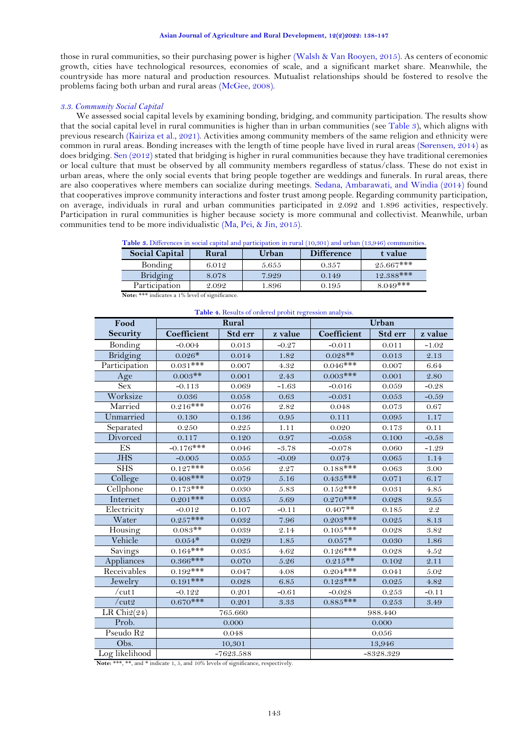those in rural communities, so their purchasing power is higher [\(Walsh & Van Rooyen, 2015\)](#page-9-8). As centers of economic growth, cities have technological resources, economies of scale, and a significant market share. Meanwhile, the countryside has more natural and production resources. Mutualist relationships should be fostered to resolve the problems facing both urban and rural areas [\(McGee, 2008\)](#page-8-16).

### *3.3. Community Social Capital*

We assessed social capital levels by examining bonding, bridging, and community participation. The results show that the social capital level in rural communities is higher than in urban communities (se[e Table 3\)](#page-5-0), which aligns with previous research [\(Kairiza et al., 2021\)](#page-8-1). Activities among community members of the same religion and ethnicity were common in rural areas. Bonding increases with the length of time people have lived in rural areas [\(Sørensen, 2014\)](#page-9-9) as does bridging. [Sen \(2012\)](#page-8-14) stated that bridging is higher in rural communities because they have traditional ceremonies or local culture that must be observed by all community members regardless of status/class. These do not exist in urban areas, where the only social events that bring people together are weddings and funerals. In rural areas, there are also cooperatives where members can socialize during meetings. [Sedana, Ambarawati, and Windia \(2014\)](#page-8-17) found that cooperatives improve community interactions and foster trust among people. Regarding community participation, on average, individuals in rural and urban communities participated in 2.092 and 1.896 activities, respectively. Participation in rural communities is higher because society is more communal and collectivist. Meanwhile, urban communities tend to be more individualistic [\(Ma, Pei, & Jin, 2015\)](#page-8-18).

|  |  |  |  |  | Table 3. Differences in social capital and participation in rural (10,301) and urban (13,946) communities. |  |  |  |  |
|--|--|--|--|--|------------------------------------------------------------------------------------------------------------|--|--|--|--|
|--|--|--|--|--|------------------------------------------------------------------------------------------------------------|--|--|--|--|

<span id="page-5-0"></span>

| <b>Social Capital</b>                                                                                                                         | Rural                | Urban | <b>Difference</b> | t value     |
|-----------------------------------------------------------------------------------------------------------------------------------------------|----------------------|-------|-------------------|-------------|
| Bonding                                                                                                                                       | 6.012                | 5.655 | 0.357             | $25.667***$ |
| Bridging                                                                                                                                      | 8.078                | 7.929 | 0.149             | $12.388***$ |
| Participation                                                                                                                                 | 2.092                | 1.896 | 0.195             | $8.049***$  |
| $\frac{1}{2}$ . The contract of $\frac{1}{2}$ . The contract of $\frac{1}{2}$ is the contract of $\frac{1}{2}$<br>$\sim$ $\sim$ $\sim$ $\sim$ | $\sim$ $\sim$ $\sim$ |       |                   |             |

<span id="page-5-1"></span>

| Table 4. Results of ordered probit regression analysis. |              |                    |          |             |           |         |  |
|---------------------------------------------------------|--------------|--------------------|----------|-------------|-----------|---------|--|
| Food                                                    |              | Rural              |          | Urban       |           |         |  |
| Security                                                | Coefficient  | Std err            | z value  | Coefficient | Std err   | z value |  |
| Bonding                                                 | $-0.004$     | 0.013              | $-0.27$  | $-0.011$    | 0.011     | $-1.02$ |  |
| Bridging                                                | $0.026*$     | 0.014              | 1.82     | $0.028**$   | 0.013     | 2.13    |  |
| Participation                                           | $0.031***$   | 0.007              | 4.32     | $0.046***$  | 0.007     | 6.64    |  |
| Age                                                     | $0.003**$    | 0.001              | 2.43     | $0.003$ *** | 0.001     | 2.80    |  |
| <b>Sex</b>                                              | $-0.113$     | 0.069              | $-1.63$  | $-0.016$    | 0.059     | $-0.28$ |  |
| Worksize                                                | 0.036        | 0.058              | 0.63     | $-0.031$    | 0.053     | $-0.59$ |  |
| Married                                                 | $0.216***$   | 0.076              | 2.82     | 0.048       | 0.073     | 0.67    |  |
| Unmarried                                               | 0.130        | 0.136              | $0.95\,$ | 0.111       | 0.095     | 1.17    |  |
| Separated                                               | 0.250        | 0.225              | 1.11     | 0.020       | 0.173     | 0.11    |  |
| Divorced                                                | 0.117        | 0.120              | 0.97     | $-0.058$    | 0.100     | $-0.58$ |  |
| ES                                                      | $-0.176$ *** | 0.046              | $-3.78$  | $-0.078$    | 0.060     | $-1.29$ |  |
| <b>JHS</b>                                              | $-0.005$     | 0.055              | $-0.09$  | 0.074       | 0.065     | 1.14    |  |
| <b>SHS</b>                                              | $0.127***$   | 0.056              | 2.27     | $0.188$ *** | 0.063     | 3.00    |  |
| College                                                 | $0.408***$   | 0.079              | 5.16     | $0.435***$  | 0.071     | 6.17    |  |
| Cellphone                                               | $0.173***$   | 0.030              | 5.83     | $0.152***$  | 0.031     | 4.85    |  |
| Internet                                                | $0.201$ ***  | 0.035              | 5.69     | $0.270***$  | 0.028     | 9.55    |  |
| Electricity                                             | $-0.012$     | 0.107              | $-0.11$  | $0.407**$   | 0.185     | 2.2     |  |
| Water                                                   | $0.257***$   | 0.032              | 7.96     | $0.203$ *** | $0.025\,$ | 8.13    |  |
| Housing                                                 | $0.083**$    | 0.039              | 2.14     | $0.105***$  | 0.028     | 3.82    |  |
| Vehicle                                                 | $0.054*$     | 0.029              | 1.85     | $0.057*$    | 0.030     | 1.86    |  |
| Savings                                                 | $0.164***$   | 0.035              | 4.62     | $0.126***$  | 0.028     | 4.52    |  |
| Appliances                                              | $0.366***$   | 0.070              | 5.26     | $0.215**$   | 0.102     | 2.11    |  |
| Receivables                                             | $0.192***$   | 0.047              | 4.08     | $0.204***$  | 0.041     | 5.02    |  |
| Jewelry                                                 | $0.191$ ***  | 0.028              | 6.85     | $0.123***$  | 0.025     | 4.82    |  |
| /cut1                                                   | $-0.122$     | 0.201              | $-0.61$  | $-0.028$    | 0.253     | $-0.11$ |  |
| /cut2                                                   | $0.670$ ***  | 0.201              | 3.33     | $0.885***$  | 0.253     | 3.49    |  |
| LR Chi $2(24)$                                          |              | 765.660<br>988.440 |          |             |           |         |  |
| Prob.                                                   |              | 0.000              |          |             | 0.000     |         |  |
| Pseudo R <sub>2</sub>                                   |              | 0.048              |          | 0.056       |           |         |  |
| Obs.                                                    |              | 10,301             |          |             | 13,946    |         |  |
| Log likelihood                                          |              | $-7623.588$        |          | $-8328.329$ |           |         |  |

**Note:** \*\*\* indicates a 1% level of significance.

**Note:** \*\*\*,  $\frac{1}{2}$  and  $\frac{1}{2}$  indicate 1, 5, and 10% levels of significance, respectively.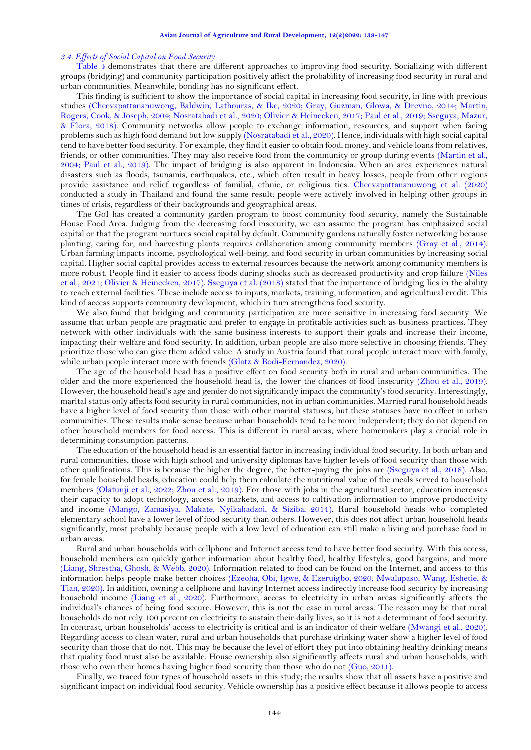#### *3.4. Effects of Social Capital on Food Security*

[Table 4](#page-5-1) demonstrates that there are different approaches to improving food security. Socializing with different groups (bridging) and community participation positively affect the probability of increasing food security in rural and urban communities. Meanwhile, bonding has no significant effect.

This finding is sufficient to show the importance of social capital in increasing food security, in line with previous studies [\(Cheevapattananuwong, Baldwin, Lathouras, & Ike, 2020;](#page-7-10) [Gray, Guzman, Glowa, & Drevno, 2014;](#page-7-11) [Martin,](#page-8-19)  [Rogers, Cook, & Joseph, 2004;](#page-8-19) [Nosratabadi et al., 2020;](#page-8-4) [Olivier & Heinecken, 2017;](#page-8-20) [Paul et al., 2019;](#page-8-8) [Sseguya, Mazur,](#page-9-10)  [& Flora, 2018\)](#page-9-10). Community networks allow people to exchange information, resources, and support when facing problems such as high food demand but low supply [\(Nosratabadi et al., 2020\)](#page-8-4). Hence, individuals with high social capital tend to have better food security. For example, they find it easier to obtain food, money, and vehicle loans from relatives, friends, or other communities. They may also receive food from the community or group during events [\(Martin et al.,](#page-8-19)  [2004;](#page-8-19) [Paul et al., 2019\)](#page-8-8). The impact of bridging is also apparent in Indonesia. When an area experiences natural disasters such as floods, tsunamis, earthquakes, etc., which often result in heavy losses, people from other regions provide assistance and relief regardless of familial, ethnic, or religious ties. [Cheevapattananuwong et al. \(2020\)](#page-7-10) conducted a study in Thailand and found the same result: people were actively involved in helping other groups in times of crisis, regardless of their backgrounds and geographical areas.

The GoI has created a community garden program to boost community food security, namely the Sustainable House Food Area. Judging from the decreasing food insecurity, we can assume the program has emphasized social capital or that the program nurtures social capital by default. Community gardens naturally foster networking because planting, caring for, and harvesting plants requires collaboration among community members [\(Gray et al., 2014\)](#page-7-11). Urban farming impacts income, psychological well-being, and food security in urban communities by increasing social capital. Higher social capital provides access to external resources because the network among community members is more robust. People find it easier to access foods during shocks such as decreased productivity and crop failure [\(Niles](#page-8-6)  [et al., 2021;](#page-8-6) [Olivier & Heinecken, 2017\)](#page-8-20). [Sseguya et al. \(2018\)](#page-9-10) stated that the importance of bridging lies in the ability to reach external facilities. These include access to inputs, markets, training, information, and agricultural credit. This kind of access supports community development, which in turn strengthens food security.

We also found that bridging and community participation are more sensitive in increasing food security. We assume that urban people are pragmatic and prefer to engage in profitable activities such as business practices. They network with other individuals with the same business interests to support their goals and increase their income, impacting their welfare and food security. In addition, urban people are also more selective in choosing friends. They prioritize those who can give them added value. A study in Austria found that rural people interact more with family, while urban people interact more with friends [\(Glatz & Bodi-Fernandez, 2020\)](#page-7-12).

The age of the household head has a positive effect on food security both in rural and urban communities. The older and the more experienced the household head is, the lower the chances of food insecurity [\(Zhou et al., 2019\)](#page-9-11). However, the household head's age and gender do not significantly impact the community's food security. Interestingly, marital status only affects food security in rural communities, not in urban communities. Married rural household heads have a higher level of food security than those with other marital statuses, but these statuses have no effect in urban communities. These results make sense because urban households tend to be more independent; they do not depend on other household members for food access. This is different in rural areas, where homemakers play a crucial role in determining consumption patterns.

The education of the household head is an essential factor in increasing individual food security. In both urban and rural communities, those with high school and university diplomas have higher levels of food security than those with other qualifications. This is because the higher the degree, the better-paying the jobs are [\(Sseguya et al., 2018\)](#page-9-10). Also, for female household heads, education could help them calculate the nutritional value of the meals served to household members [\(Olatunji et al., 2022;](#page-8-21) [Zhou et al., 2019\)](#page-9-11). For those with jobs in the agricultural sector, education increases their capacity to adopt technology, access to markets, and access to cultivation information to improve productivity and income [\(Mango, Zamasiya, Makate, Nyikahadzoi, & Siziba, 2014\)](#page-8-22). Rural household heads who completed elementary school have a lower level of food security than others. However, this does not affect urban household heads significantly, most probably because people with a low level of education can still make a living and purchase food in urban areas.

Rural and urban households with cellphone and Internet access tend to have better food security. With this access, household members can quickly gather information about healthy food, healthy lifestyles, good bargains, and more [\(Liang, Shrestha, Ghosh, &](#page-8-23) Webb, 2020). Information related to food can be found on the Internet, and access to this information helps people make better choices [\(Ezeoha, Obi, Igwe, & Ezeruigbo, 2020;](#page-7-13) [Mwalupaso, Wang, Eshetie, &](#page-8-24)  [Tian, 2020\)](#page-8-24). In addition, owning a cellphone and having Internet access indirectly increase food security by increasing household income [\(Liang et al., 2020\)](#page-8-23). Furthermore, access to electricity in urban areas significantly affects the individual's chances of being food secure. However, this is not the case in rural areas. The reason may be that rural households do not rely 100 percent on electricity to sustain their daily lives, so it is not a determinant of food security. In contrast, urban households' access to electricity is critical and is an indicator of their welfare [\(Mwangi et al., 2020\)](#page-8-25). Regarding access to clean water, rural and urban households that purchase drinking water show a higher level of food security than those that do not. This may be because the level of effort they put into obtaining healthy drinking means that quality food must also be available. House ownership also significantly affects rural and urban households, with those who own their homes having higher food security than those who do not [\(Guo, 2011\)](#page-7-14).

Finally, we traced four types of household assets in this study; the results show that all assets have a positive and significant impact on individual food security. Vehicle ownership has a positive effect because it allows people to access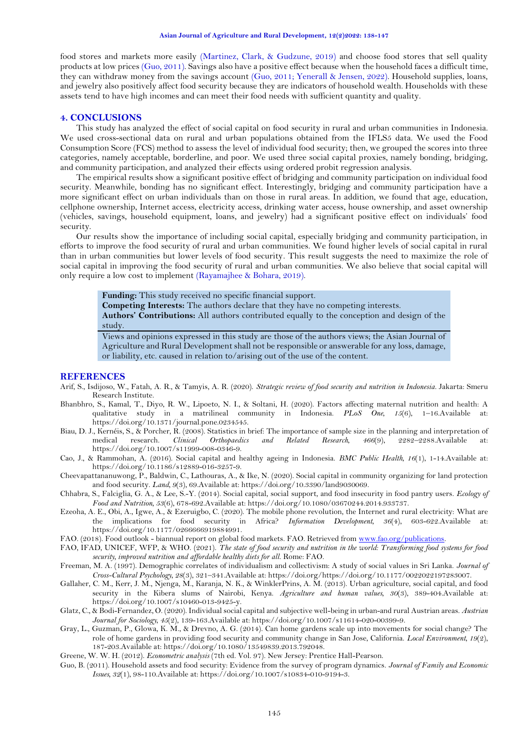food stores and markets more easily [\(Martinez, Clark, & Gudzune, 2019\)](#page-8-26) and choose food stores that sell quality products at low prices [\(Guo, 2011\)](#page-7-14). Savings also have a positive effect because when the household faces a difficult time, they can withdraw money from the savings account [\(Guo, 2011;](#page-7-14) [Yenerall & Jensen, 2022\)](#page-9-12). Household supplies, loans, and jewelry also positively affect food security because they are indicators of household wealth. Households with these assets tend to have high incomes and can meet their food needs with sufficient quantity and quality.

### **4. CONCLUSIONS**

This study has analyzed the effect of social capital on food security in rural and urban communities in Indonesia. We used cross-sectional data on rural and urban populations obtained from the IFLS5 data. We used the Food Consumption Score (FCS) method to assess the level of individual food security; then, we grouped the scores into three categories, namely acceptable, borderline, and poor. We used three social capital proxies, namely bonding, bridging, and community participation, and analyzed their effects using ordered probit regression analysis.

The empirical results show a significant positive effect of bridging and community participation on individual food security. Meanwhile, bonding has no significant effect. Interestingly, bridging and community participation have a more significant effect on urban individuals than on those in rural areas. In addition, we found that age, education, cellphone ownership, Internet access, electricity access, drinking water access, house ownership, and asset ownership (vehicles, savings, household equipment, loans, and jewelry) had a significant positive effect on individuals' food security.

Our results show the importance of including social capital, especially bridging and community participation, in efforts to improve the food security of rural and urban communities. We found higher levels of social capital in rural than in urban communities but lower levels of food security. This result suggests the need to maximize the role of social capital in improving the food security of rural and urban communities. We also believe that social capital will only require a low cost to implement [\(Rayamajhee & Bohara, 2019\)](#page-8-27).

**Funding:** This study received no specific financial support.

**Competing Interests:** The authors declare that they have no competing interests. **Authors' Contributions:** All authors contributed equally to the conception and design of the study.

Views and opinions expressed in this study are those of the authors views; the Asian Journal of Agriculture and Rural Development shall not be responsible or answerable for any loss, damage, or liability, etc. caused in relation to/arising out of the use of the content.

### **REFERENCES**

- <span id="page-7-1"></span>Arif, S., Isdijoso, W., Fatah, A. R., & Tamyis, A. R. (2020). *Strategic review of food security and nutrition in Indonesia*. Jakarta: Smeru Research Institute.
- <span id="page-7-9"></span>Bhanbhro, S., Kamal, T., Diyo, R. W., Lipoeto, N. I., & Soltani, H. (2020). Factors affecting maternal nutrition and health: A qualitative study in a matrilineal community in Indonesia. *PLoS One, 15*(6), 1–16.Available at: https://doi.org/10.1371/journal.pone.0234545.
- <span id="page-7-6"></span>Biau, D. J., Kernéis, S., & Porcher, R. (2008). Statistics in brief: The importance of sample size in the planning and interpretation of medical research. *Clinical Orthopaedics and Related Research, 466*(9), 2282–2288.Available at: https://doi.org/10.1007/s11999-008-0346-9.
- <span id="page-7-7"></span>Cao, J., & Rammohan, A. (2016). Social capital and healthy ageing in Indonesia. *BMC Public Health, 16*(1), 1-14.Available at: https://doi.org/10.1186/s12889-016-3257-9.
- <span id="page-7-10"></span>Cheevapattananuwong, P., Baldwin, C., Lathouras, A., & Ike, N. (2020). Social capital in community organizing for land protection and food security. *Land, 9*(3), 69.Available at: https://doi.org/10.3390/land9030069.
- <span id="page-7-5"></span>Chhabra, S., Falciglia, G. A., & Lee, S.-Y. (2014). Social capital, social support, and food insecurity in food pantry users. *Ecology of Food and Nutrition, 53*(6), 678-692.Available at: https://doi.org/10.1080/03670244.2014.933737.
- <span id="page-7-13"></span>Ezeoha, A. E., Obi, A., Igwe, A., & Ezeruigbo, C. (2020). The mobile phone revolution, the Internet and rural electricity: What are the implications for food security in Africa? *Information Development, 36*(4), 603-622.Available at: https://doi.org/10.1177/0266666919884991.
- <span id="page-7-0"></span>FAO. (2018). Food outlook - biannual report on global food markets. FAO. Retrieved from [www.fao.org/publications.](http://www.fao.org/publications)
- <span id="page-7-2"></span>FAO, IFAD, UNICEF, WFP, & WHO. (2021). *The state of food security and nutrition in the world: Transforming food systems for food security, improved nutrition and affordable healthy diets for all*. Rome: FAO.
- <span id="page-7-4"></span>Freeman, M. A. (1997). Demographic correlates of individualism and collectivism: A study of social values in Sri Lanka. *Journal of Cross-Cultural Psychology, 28*(3), 321–341.Available at: https://doi.org/https://doi.org/10.1177/0022022197283007.
- <span id="page-7-3"></span>Gallaher, C. M., Kerr, J. M., Njenga, M., Karanja, N. K., & WinklerPrins, A. M. (2013). Urban agriculture, social capital, and food security in the Kibera slums of Nairobi, Kenya. *Agriculture and human values, 30*(3), 389-404.Available at: https://doi.org/10.1007/s10460-013-9425-y.
- <span id="page-7-12"></span>Glatz, C., & Bodi-Fernandez, O. (2020). Individual social capital and subjective well-being in urban-and rural Austrian areas. *Austrian Journal for Sociology, 45*(2), 139-163.Available at: https://doi.org/10.1007/s11614-020-00399-9.
- <span id="page-7-11"></span>Gray, L., Guzman, P., Glowa, K. M., & Drevno, A. G. (2014). Can home gardens scale up into movements for social change? The role of home gardens in providing food security and community change in San Jose, California. *Local Environment, 19*(2), 187-203.Available at: https://doi.org/10.1080/13549839.2013.792048.
- <span id="page-7-8"></span>Greene, W. W. H. (2012). *Econometric analysis* (7th ed. Vol. 97). New Jersey: Prentice Hall-Pearson.
- <span id="page-7-14"></span>Guo, B. (2011). Household assets and food security: Evidence from the survey of program dynamics. *Journal of Family and Economic Issues, 32*(1), 98-110.Available at: https://doi.org/10.1007/s10834-010-9194-3.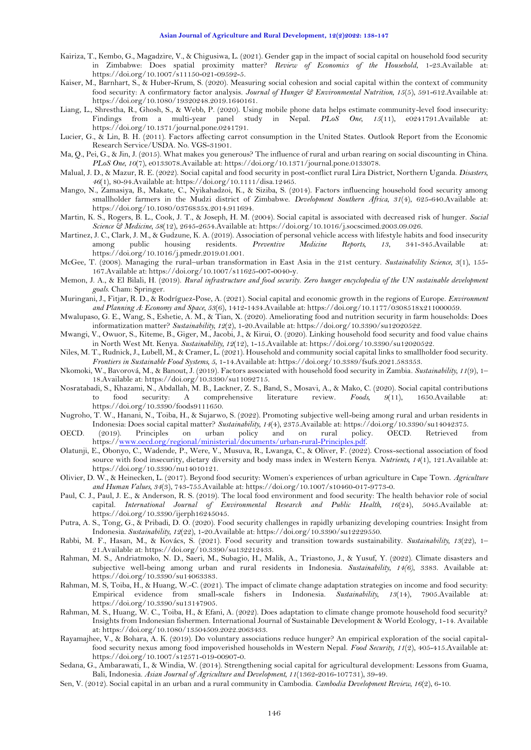- <span id="page-8-1"></span>Kairiza, T., Kembo, G., Magadzire, V., & Chigusiwa, L. (2021). Gender gap in the impact of social capital on household food security in Zimbabwe: Does spatial proximity matter? *Review of Economics of the Household*, 1-23.Available at: https://doi.org/10.1007/s11150-021-09592-5.
- <span id="page-8-9"></span>Kaiser, M., Barnhart, S., & Huber-Krum, S. (2020). Measuring social cohesion and social capital within the context of community food security: A confirmatory factor analysis. *Journal of Hunger & Environmental Nutrition, 15*(5), 591-612.Available at: https://doi.org/10.1080/19320248.2019.1640161.
- <span id="page-8-23"></span>Liang, L., Shrestha, R., Ghosh, S., & Webb, P. (2020). Using mobile phone data helps estimate community-level food insecurity: Findings from a multi-year panel study in Nepal. *PLoS One, 15*(11), e0241791.Available at: https://doi.org/10.1371/journal.pone.0241791.
- <span id="page-8-13"></span>Lucier, G., & Lin, B. H. (2011). Factors affecting carrot consumption in the United States. Outlook Report from the Economic Research Service/USDA. No. VGS-31901.
- <span id="page-8-18"></span>Ma, Q., Pei, G., & Jin, J. (2015). What makes you generous? The influence of rural and urban rearing on social discounting in China. *PLoS One, 10*(7), e0133078.Available at: https://doi.org/10.1371/journal.pone.0133078.
- <span id="page-8-7"></span>Malual, J. D., & Mazur, R. E. (2022). Social capital and food security in post-conflict rural Lira District, Northern Uganda. *Disasters, 46*(1), 80-94.Available at: https://doi.org/10.1111/disa.12465.
- <span id="page-8-22"></span>Mango, N., Zamasiya, B., Makate, C., Nyikahadzoi, K., & Siziba, S. (2014). Factors influencing household food security among smallholder farmers in the Mudzi district of Zimbabwe. *Development Southern Africa, 31*(4), 625-640.Available at: https://doi.org/10.1080/0376835x.2014.911694.
- <span id="page-8-19"></span>Martin, K. S., Rogers, B. L., Cook, J. T., & Joseph, H. M. (2004). Social capital is associated with decreased risk of hunger. *Social Science & Medicine, 58*(12), 2645-2654.Available at: https://doi.org/10.1016/j.socscimed.2003.09.026.
- <span id="page-8-26"></span>Martinez, J. C., Clark, J. M., & Gudzune, K. A. (2019). Association of personal vehicle access with lifestyle habits and food insecurity among public housing residents. *Preventive Medicine Reports, 13*, 341-345.Available at: https://doi.org/10.1016/j.pmedr.2019.01.001.
- <span id="page-8-16"></span>McGee, T. (2008). Managing the rural–urban transformation in East Asia in the 21st century. *Sustainability Science, 3*(1), 155- 167.Available at: https://doi.org/10.1007/s11625-007-0040-y.
- <span id="page-8-15"></span>Memon, J. A., & El Bilali, H. (2019). *Rural infrastructure and food security. Zero hunger encyclopedia of the UN sustainable development goals*. Cham: Springer.
- <span id="page-8-2"></span>Muringani, J., Fitjar, R. D., & Rodríguez-Pose, A. (2021). Social capital and economic growth in the regions of Europe. *Environment and Planning A: Economy and Space, 53*(6), 1412-1434.Available at: https://doi.org/10.1177/0308518x211000059.
- <span id="page-8-24"></span>Mwalupaso, G. E., Wang, S., Eshetie, A. M., & Tian, X. (2020). Ameliorating food and nutrition security in farm households: Does informatization matter? *Sustainability, 12*(2), 1-20.Available at: https://doi.org/10.3390/su12020522.
- <span id="page-8-25"></span>Mwangi, V., Owuor, S., Kiteme, B., Giger, M., Jacobi, J., & Kirui, O. (2020). Linking household food security and food value chains in North West Mt. Kenya. *Sustainability, 12*(12), 1-15.Available at: https://doi.org/10.3390/su12020522.
- <span id="page-8-6"></span>Niles, M. T., Rudnick, J., Lubell, M., & Cramer, L. (2021). Household and community social capital links to smallholder food security. *Frontiers in Sustainable Food Systems, 5*, 1-14.Available at: https://doi.org/10.3389/fsufs.2021.583353.
- <span id="page-8-0"></span>Nkomoki, W., Bavorová, M., & Banout, J. (2019). Factors associated with household food security in Zambia. *Sustainability, 11*(9), 1– 18.Available at: https://doi.org/10.3390/su11092715.
- <span id="page-8-4"></span>Nosratabadi, S., Khazami, N., Abdallah, M. B., Lackner, Z. S., Band, S., Mosavi, A., & Mako, C. (2020). Social capital contributions to food security: A comprehensive literature review. *Foods, 9*(11), 1650.Available at: https://doi.org/10.3390/foods9111650.
- <span id="page-8-3"></span>Nugroho, T. W., Hanani, N., Toiba, H., & Sujarwo, S. (2022). Promoting subjective well-being among rural and urban residents in Indonesia: Does social capital matter? *Sustainability, 14*(4), 2375.Available at: https://doi.org/10.3390/su14042375.
- <span id="page-8-11"></span>OECD. (2019). Principles on urban policy and on rural policy. OECD. Retrieved from https:/[/www.oecd.org/regional/ministerial/documents/urban-rural-Principles.pdf.](http://www.oecd.org/regional/ministerial/documents/urban-rural-Principles.pdf)
- <span id="page-8-21"></span>Olatunji, E., Obonyo, C., Wadende, P., Were, V., Musuva, R., Lwanga, C., & Oliver, F. (2022). Cross-sectional association of food source with food insecurity, dietary diversity and body mass index in Western Kenya. *Nutrients, 14*(1), 121.Available at: https://doi.org/10.3390/nu14010121.
- <span id="page-8-20"></span>Olivier, D. W., & Heinecken, L. (2017). Beyond food security: Women's experiences of urban agriculture in Cape Town. *Agriculture and Human Values, 34*(3), 743-755.Available at: https://doi.org/10.1007/s10460-017-9773-0.
- <span id="page-8-8"></span>Paul, C. J., Paul, J. E., & Anderson, R. S. (2019). The local food environment and food security: The health behavior role of social capital. *International Journal of Environmental Research and Public Health, 16*(24), 5045.Available at: https://doi.org/10.3390/ijerph16245045.
- <span id="page-8-10"></span>Putra, A. S., Tong, G., & Pribadi, D. O. (2020). Food security challenges in rapidly urbanizing developing countries: Insight from Indonesia. *Sustainability, 12*(22), 1-20.Available at: https://doi.org/10.3390/su12229550.
- <span id="page-8-5"></span>Rabbi, M. F., Hasan, M., & Kovács, S. (2021). Food security and transition towards sustainability. *Sustainability, 13*(22), 1– 21.Available at: https://doi.org/10.3390/su132212433.
- Rahman, M. S., Andriatmoko, N. D., Saeri, M., Subagio, H., Malik, A., Triastono, J., & Yusuf, Y. (2022). Climate disasters and subjective well-being among urban and rural residents in Indonesia. *Sustainability, 14(6)*, 3383. Available at: https://doi.org/10.3390/su14063383.
- <span id="page-8-12"></span>Rahman, M. S, Toiba, H., & Huang, W.-C. (2021). The impact of climate change adaptation strategies on income and food security: Empirical evidence from small-scale fishers in Indonesia. *Sustainability*, 13(14), 7905.Available https://doi.org/10.3390/su13147905.
- Rahman, M. S., Huang, W. C., Toiba, H., & Efani, A. (2022). Does adaptation to climate change promote household food security? Insights from Indonesian fishermen. International Journal of Sustainable Development & World Ecology, 1-14. Available at: https://doi.org/10.1080/13504509.2022.2063433.
- <span id="page-8-27"></span>Rayamajhee, V., & Bohara, A. K. (2019). Do voluntary associations reduce hunger? An empirical exploration of the social capitalfood security nexus among food impoverished households in Western Nepal. *Food Security, 11*(2), 405-415.Available at: https://doi.org/10.1007/s12571-019-00907-0.
- <span id="page-8-17"></span>Sedana, G., Ambarawati, I., & Windia, W. (2014). Strengthening social capital for agricultural development: Lessons from Guama, Bali, Indonesia. *Asian Journal of Agriculture and Development, 11*(1362-2016-107731), 39-49.
- <span id="page-8-14"></span>Sen, V. (2012). Social capital in an urban and a rural community in Cambodia. *Cambodia Development Review, 16*(2), 6-10.